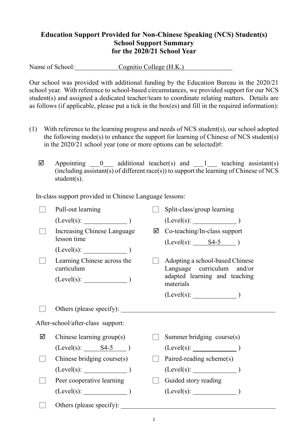## **Education Support Provided for Non-Chinese Speaking (NCS) Student(s) School Support Summary for the 2020/21 School Year**

Name of School: Cognitio College (H.K.)

Our school was provided with additional funding by the Education Bureau in the 2020/21 school year. With reference to school-based circumstances, we provided support for our NCS student(s) and assigned a dedicated teacher/team to coordinate relating matters. Details are as follows (if applicable, please put a tick in the box(es) and fill in the required information):

- (1) With reference to the learning progress and needs of NCS student(s), our school adopted the following mode(s) to enhance the support for learning of Chinese of NCS student(s) in the 2020/21 school year (one or more options can be selected)#:
	- $\boxtimes$  Appointing 0 additional teacher(s) and 1 teaching assistant(s)  $(i\text{including assistant}(s)$  of different race(s)) to support the learning of Chinese of NCS student(s).

In-class support provided in Chinese Language lessons:

| Pull-out learning                         |             | Split-class/group learning                                    |
|-------------------------------------------|-------------|---------------------------------------------------------------|
| $(Level(s):$ $)$                          |             |                                                               |
| Increasing Chinese Language               | ☑           | Co-teaching/In-class support                                  |
|                                           |             | $(Level(s):$ $S4-5$ )                                         |
| $(Level(s):$ $)$                          |             |                                                               |
| Learning Chinese across the<br>curriculum |             | Adopting a school-based Chinese<br>Language curriculum and/or |
|                                           |             | adapted learning and teaching<br>materials                    |
|                                           |             |                                                               |
|                                           |             |                                                               |
| After-school/after-class support:         |             |                                                               |
| Chinese learning group(s)                 |             | Summer bridging course(s)                                     |
|                                           |             |                                                               |
| $(Level(s):$ 84-5 $)$                     |             | (Level(s):                                                    |
| Chinese bridging course(s)                |             | Paired-reading scheme(s)                                      |
| $(Level(s):$ (Level(s):                   |             | (Level(s):                                                    |
| Peer cooperative learning                 |             | Guided story reading                                          |
| $(Level(s):$ $)$                          |             | $(Level(s):$ $)$                                              |
|                                           | lesson time | Others (please specify):                                      |